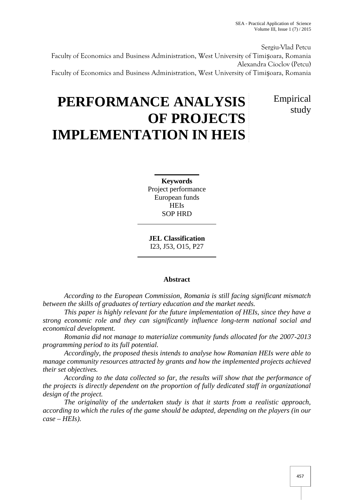Empirical

study

Sergiu-Vlad Petcu Faculty of Economics and Business Administration, West University of Timișoara, Romania Alexandra Cioclov (Petcu) Faculty of Economics and Business Administration, West University of Timișoara, Romania

# **PERFORMANCE ANALYSIS OF PROJECTS IMPLEMENTATION IN HEIS**

**Keywords** Project performance European funds **HEIs** SOP HRD

**JEL Classification** I23, J53, O15, P27

# **Abstract**

*According to the European Commission, Romania is still facing significant mismatch between the skills of graduates of tertiary education and the market needs.*

*This paper is highly relevant for the future implementation of HEIs, since they have a strong economic role and they can significantly influence long-term national social and economical development.*

*Romania did not manage to materialize community funds allocated for the 2007-2013 programming period to its full potential.*

*Accordingly, the proposed thesis intends to analyse how Romanian HEIs were able to manage community resources attracted by grants and how the implemented projects achieved their set objectives.*

*According to the data collected so far, the results will show that the performance of the projects is directly dependent on the proportion of fully dedicated staff in organizational design of the project.*

*The originality of the undertaken study is that it starts from a realistic approach, according to which the rules of the game should be adapted, depending on the players (in our case – HEIs).*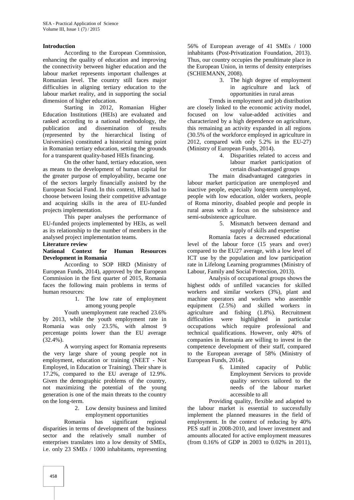### **Introduction**

According to the European Commission, enhancing the quality of education and improving the connectivity between higher education and the labour market represents important challenges at Romanian level. The country still faces major difficulties in aligning tertiary education to the labour market reality, and in supporting the social dimension of higher education.

Starting in 2012, Romanian Higher Education Institutions (HEIs) are evaluated and ranked according to a national methodology, the publication and dissemination of results (represented by the hierarchical listing of Universities) constituted a historical turning point in Romanian tertiary education, setting the grounds for a transparent quality-based HEIs financing.

On the other hand, tertiary education, seen as means to the development of human capital for the greater purpose of employability, became one of the sectors largely financially assisted by the European Social Fund. In this context, HEIs had to choose between losing their competitive advantage and acquiring skills in the area of EU-funded projects implementation.

This paper analyses the performance of EU-funded projects implemented by HEIs, as well as its relationship to the number of members in the analysed project implementation teams.

# **Literature review**

#### **National Context for Human Resources Development in Romania**

According to SOP HRD (Ministry of European Funds, 2014), approved by the European Commission in the first quarter of 2015, Romania faces the following main problems in terms of human resources:

> 1. The low rate of employment among young people

Youth unemployment rate reached 23.6% by 2013, while the youth employment rate in Romania was only 23.5%, with almost 9 percentage points lower than the EU average (32.4%).

A worrying aspect for Romania represents the very large share of young people not in employment, education or training (NEET - Not Employed, in Education or Training). Their share is 17.2%, compared to the EU average of 12.9%. Given the demographic problems of the country, not maximizing the potential of the young generation is one of the main threats to the country on the long-term.

> 2. Low density business and limited employment opportunities

Romania has significant regional disparities in terms of development of the business sector and the relatively small number of enterprises translates into a low density of SMEs, i.e. only 23 SMEs / 1000 inhabitants, representing

56% of European average of 41 SMEs / 1000 inhabitants (Post-Privatization Foundation, 2013). Thus, our country occupies the penultimate place in the European Union, in terms of density enterprises (SCHIEMANN, 2008).

3. The high degree of employment in agriculture and lack of opportunities in rural areas

Trends in employment and job distribution are closely linked to the economic activity model, focused on low value-added activities and characterized by a high dependence on agriculture, this remaining an activity expanded in all regions (30.5% of the workforce employed in agriculture in 2012, compared with only 5.2% in the EU-27) (Ministry of European Funds, 2014).

4. Disparities related to access and labour market participation of certain disadvantaged groups

The main disadvantaged categories in labour market participation are unemployed and inactive people, especially long-term unemployed, people with low education, older workers, people of Roma minority, disabled people and people in rural areas with a focus on the subsistence and semi-subsistence agriculture.

5. Mismatch between demand and supply of skills and expertise

Romania faces a decreased educational level of the labour force (15 years and over) compared to the EU27 average, with a low level of ICT use by the population and low participation rate in Lifelong Learning programmes (Ministry of Labour, Family and Social Protection, 2013).

Analysis of occupational groups shows the highest odds of unfilled vacancies for skilled workers and similar workers (3%), plant and machine operators and workers who assemble equipment (2.5%) and skilled workers in agriculture and fishing (1.8%). Recruitment were highlighted in particular occupations which require professional and technical qualifications. However, only 40% of companies in Romania are willing to invest in the competence development of their staff, compared to the European average of 58% (Ministry of European Funds, 2014).

6. Limited capacity of Public Employment Services to provide quality services tailored to the needs of the labour market accessible to all

Providing quality, flexible and adapted to the labour market is essential to successfully implement the planned measures in the field of employment. In the context of reducing by 40% PES staff in 2008-2010, and lower investment and amounts allocated for active employment measures (from 0.16% of GDP in 2003 to 0.02% in 2011),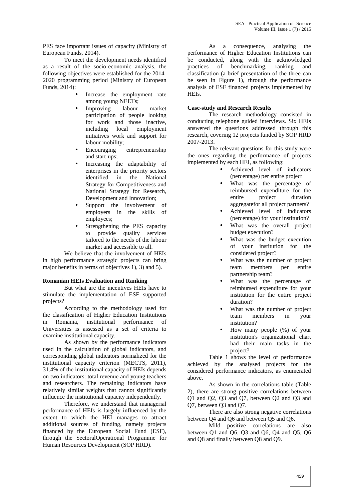PES face important issues of capacity (Ministry of European Funds, 2014).

To meet the development needs identified as a result of the socio-economic analysis, the following objectives were established for the 2014- 2020 programming period (Ministry of European Funds, 2014):

- Increase the employment rate among young NEETs;
- Improving labour market participation of people looking for work and those inactive, including local employment initiatives work and support for labour mobility;
- Encouraging entrepreneurship and start-ups;
- Increasing the adaptability of enterprises in the priority sectors identified in the National Strategy for Competitiveness and National Strategy for Research, Development and Innovation;
- Support the involvement of employers in the skills of employees;
- Strengthening the PES capacity to provide quality services tailored to the needs of the labour market and accessible to all.

We believe that the involvement of HEIs in high performance strategic projects can bring major benefits in terms of objectives 1), 3) and 5).

# **Romanian HEIs Evaluation and Ranking**

But what are the incentives HEIs have to stimulate the implementation of ESF supported projects?

According to the methodology used for the classification of Higher Education Institutions in Romania, institutional performance of Universities is assessed as a set of criteria to examine institutional capacity.

As shown by the performance indicators used in the calculation of global indicators, and corresponding global indicators normalized for the institutional capacity criterion (MECTS, 2011), 31.4% of the institutional capacity of HEIs depends on two indicators: total revenue and young teachers and researchers. The remaining indicators have relatively similar weights that cannot significantly influence the institutional capacity independently.

Therefore, we understand that managerial performance of HEIs is largely influenced by the extent to which the HEI manages to attract additional sources of funding, namely projects financed by the European Social Fund (ESF), through the SectoralOperational Programme for Human Resources Development (SOP HRD).

As a consequence, analysing the performance of Higher Education Institutions can be conducted, along with the acknowledged practices of benchmarking, ranking and classification (a brief presentation of the three can be seen in Figure 1), through the performance analysis of ESF financed projects implemented by HEIs.

#### **Case-study and Research Results**

The research methodology consisted in conducting telephone guided interviews. Six HEIs answered the questions addressed through this research, covering 12 projects funded by SOP HRD 2007-2013.

The relevant questions for this study were the ones regarding the performance of projects implemented by each HEI, as following:

- Achieved level of indicators (percentage) per entire project
- What was the percentage of reimbursed expenditure for the entire project duration aggregatefor all project partners?
- Achieved level of indicators (percentage) for your institution?
- What was the overall project budget execution?
- What was the budget execution of your institution for the considered project?
- What was the number of project team members per entire partnership team?
- What was the percentage of reimbursed expenditure for your institution for the entire project duration?
- What was the number of project team members in your institution?
- How many people (%) of your institution's organizational chart had their main tasks in the project?

Table 1 shows the level of performance achieved by the analysed projects for the considered performance indicators, as enumerated above.

As shown in the correlations table (Table 2), there are strong positive correlations between Q1 and Q2, Q3 and Q7, between Q2 and Q3 and Q7, between Q3 and Q7.

There are also strong negative correlations between Q4 and Q6 and between Q5 and Q6.

Mild positive correlations are also between Q1 and Q6, Q3 and Q6, Q4 and Q5, Q6 and Q8 and finally between Q8 and Q9.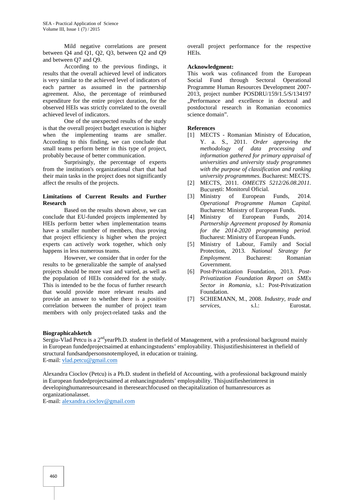Mild negative correlations are present between Q4 and Q1, Q2, Q3, between Q2 and Q9 and between Q7 and Q9.

According to the previous findings, it results that the overall achieved level of indicators is very similar to the achieved level of indicators of each partner as assumed in the partnership agreement. Also, the percentage of reimbursed expenditure for the entire project duration, for the observed HEIs was strictly correlated to the overall achieved level of indicators.

One of the unexpected results of the study is that the overall project budget execution is higher when the implementing teams are smaller. According to this finding, we can conclude that small teams perform better in this type of project, probably because of better communication.

Surprisingly, the percentage of experts from the institution's organizational chart that had their main tasks in the project does not significantly affect the results of the projects.

#### **Limitations of Current Results and Further Research**

Based on the results shown above, we can conclude that EU-funded projects implemented by HEIs perform better when implementation teams have a smaller number of members, thus proving that project efficiency is higher when the project experts can actively work together, which only happens in less numerous teams.

However, we consider that in order for the results to be generalizable the sample of analysed projects should be more vast and varied, as well as the population of HEIs considered for the study. This is intended to be the focus of further research that would provide more relevant results and provide an answer to whether there is a positive correlation between the number of project team members with only project-related tasks and the

overall project performance for the respective HEIs.

#### **Acknowledgment:**

This work was cofinanced from the European Social Fund through Sectoral Operational Programme Human Resources Development 2007- 2013, project number POSDRU/159/1.5/S/134197 "Performance and excellence in doctoral and postdoctoral research in Romanian economics science domain".

# **References**

- [1] MECTS Romanian Ministry of Education, Y. a. S., 2011. *Order approving the methodology of data processing and information gathered for primary appraisal of universities and university study programmes with the purpose of classification and ranking university programmmes.* Bucharest: MECTS.
- [2] MECTS, 2011. *OMECTS 5212/26.08.2011.* Bucure ti: Monitorul Oficial.
- [3] Ministry of European Funds, 2014. *Operational Programme Human Capital.* Bucharest: Ministry of European Funds.
- [4] Ministry of European Funds, 2014. *Partnership Agreement proposed by Romania for the 2014-2020 programming period.* Bucharest: Ministry of European Funds.
- [5] Ministry of Labour, Family and Social Protection, 2013. *National Strategy for Employment.* Bucharest: Romanian Government.
- [6] Post-Privatization Foundation, 2013. *Post- Privatization Foundation Report on SMEs Sector in Romania,* s.l.: Post-Privatization Foundation.
- [7] SCHIEMANN, M., 2008. *Industry, trade and s.l.*: Eurostat.

#### **Biographicalsketch**

Sergiu-Vlad Petcu is a 2<sup>nd</sup>yearPh.D. student in thefield of Management, with a professional background mainly in European fundedprojectsaimed at enhancingstudents' employability. Thisjustifieshisinterest in thefield of structural fundsandpersonsnotemployed, in education or training. E-mail: vlad.petcu@gmail.com

Alexandra Cioclov (Petcu) is a Ph.D. student in thefield of Accounting, with a professional background mainly in European fundedprojectsaimed at enhancingstudents' employability. Thisjustifiesherinterest in developinghumanresourcesand in theresearchfocused on thecapitalization of humanresources as organizationalasset.

E-mail: alexandra.cioclov@gmail.com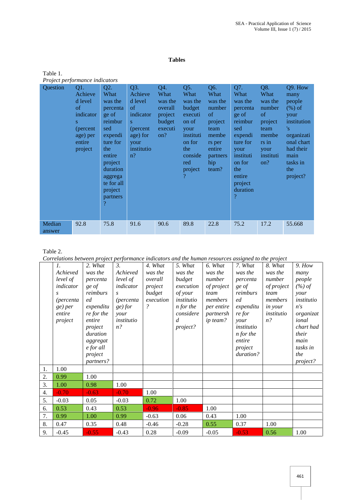### **Tables**

| Table 1.                       |  |
|--------------------------------|--|
| Project performance indicators |  |

| $\ldots$<br>Question | Q1.<br>Achieve<br>d level<br>of<br>indicator<br>S<br>(percent)<br>age) per<br>entire<br>project | Q2.<br>What<br>was the<br>percenta<br>ge of<br>reimbur<br>sed<br>expendi<br>ture for<br>the<br>entire<br>project<br>duration<br>aggrega<br>te for all<br>project<br>partners<br>$\overline{\mathcal{P}}$ | Q3.<br>Achieve<br>d level<br><sub>of</sub><br>indicator<br>S<br>(percent)<br>age) for<br>your<br>institutio<br>$n$ ? | Q4.<br>What<br>was the<br>overall<br>project<br>budget<br>executi<br>on? | Q5.<br>What<br>was the<br>budget<br>executi<br>on of<br>your<br>instituti<br>on for<br>the<br>conside<br>red<br>project<br>$\gamma$ | Q6.<br>What<br>was the<br>number<br>of<br>project<br>team<br>membe<br>rs per<br>entire<br>partners<br>hip<br>team? | Q7.<br>What<br>was the<br>percenta<br>ge of<br>reimbur<br>sed<br>expendi<br>ture for<br>your<br>instituti<br>on for<br>the<br>entire<br>project<br>duration<br>$\mathcal{P}$ | Q8.<br>What<br>was the<br>number<br>of<br>project<br>team<br>membe<br>rs in<br>your<br>instituti<br>on? | Q9. How<br>many<br>people<br>$(\%)$ of<br>your<br>institution<br>'s<br>organizati<br>onal chart<br>had their<br>main<br>tasks in<br>the<br>project? |
|----------------------|-------------------------------------------------------------------------------------------------|----------------------------------------------------------------------------------------------------------------------------------------------------------------------------------------------------------|----------------------------------------------------------------------------------------------------------------------|--------------------------------------------------------------------------|-------------------------------------------------------------------------------------------------------------------------------------|--------------------------------------------------------------------------------------------------------------------|------------------------------------------------------------------------------------------------------------------------------------------------------------------------------|---------------------------------------------------------------------------------------------------------|-----------------------------------------------------------------------------------------------------------------------------------------------------|
| Median<br>answer     | 92.8                                                                                            | 75.8                                                                                                                                                                                                     | 91.6                                                                                                                 | 90.6                                                                     | 89.8                                                                                                                                | 22.8                                                                                                               | 75.2                                                                                                                                                                         | 17.2                                                                                                    | 55.668                                                                                                                                              |

# Table 2.

*Correlations between project performance indicators and the human resources assigned to the project*

|    | $\mathfrak{1}.$<br>Achieved<br>level of<br>indicator<br>S<br><i>(percenta)</i><br>ge) per<br>entire<br>project | 2. What<br>was the<br>percenta<br>ge of<br>reimburs<br>ed<br>expenditu<br>re for the<br>entire<br>project<br>duration<br>aggregat<br>e for all<br>project<br>partners? | $\mathfrak{Z}$ .<br>Achieved<br>level of<br>indicator<br><i>(percenta)</i><br>ge) for<br>your<br>institutio<br>$n$ ? | 4. What<br>was the<br>overall<br>project<br>budget<br>execution<br>$\overline{\mathcal{E}}$ | 5. What<br>was the<br>budget<br>execution<br>of your<br>institutio<br><i>n</i> for the<br>considere<br>$\overline{d}$<br>project? | 6. What<br>was the<br>number<br>of project<br>team<br>members<br>per entire<br>partnersh<br>ip team? | 7. What<br>was the<br>percenta<br>ge of<br>reimburs<br>ed<br>expenditu<br>re for<br>your<br>institutio<br>$n$ for the<br>entire<br>project<br>duration? | 8. What<br>was the<br>number<br>of project<br>team<br>members<br><i>in your</i><br>institutio<br>$n$ ? | 9. How<br>many<br>people<br>$(\%)$ of<br>your<br>institutio<br>n's<br>organizat<br>ional<br>chart had<br>their<br>main<br>tasks in<br>the<br>project? |  |
|----|----------------------------------------------------------------------------------------------------------------|------------------------------------------------------------------------------------------------------------------------------------------------------------------------|----------------------------------------------------------------------------------------------------------------------|---------------------------------------------------------------------------------------------|-----------------------------------------------------------------------------------------------------------------------------------|------------------------------------------------------------------------------------------------------|---------------------------------------------------------------------------------------------------------------------------------------------------------|--------------------------------------------------------------------------------------------------------|-------------------------------------------------------------------------------------------------------------------------------------------------------|--|
| 1. | 1.00                                                                                                           |                                                                                                                                                                        |                                                                                                                      |                                                                                             |                                                                                                                                   |                                                                                                      |                                                                                                                                                         |                                                                                                        |                                                                                                                                                       |  |
| 2. | 0.99                                                                                                           | 1.00                                                                                                                                                                   |                                                                                                                      |                                                                                             |                                                                                                                                   |                                                                                                      |                                                                                                                                                         |                                                                                                        |                                                                                                                                                       |  |
| 3. | 1.00                                                                                                           | 0.98                                                                                                                                                                   | 1.00                                                                                                                 |                                                                                             |                                                                                                                                   |                                                                                                      |                                                                                                                                                         |                                                                                                        |                                                                                                                                                       |  |
| 4. | $-0.70$                                                                                                        | $-0.63$                                                                                                                                                                | $-0.70$                                                                                                              | 1.00                                                                                        |                                                                                                                                   |                                                                                                      |                                                                                                                                                         |                                                                                                        |                                                                                                                                                       |  |
| 5. | $-0.03$                                                                                                        | 0.05                                                                                                                                                                   | $-0.03$                                                                                                              | 0.72                                                                                        | 1.00                                                                                                                              |                                                                                                      |                                                                                                                                                         |                                                                                                        |                                                                                                                                                       |  |
| 6. | 0.53                                                                                                           | 0.43                                                                                                                                                                   | 0.53                                                                                                                 | $-0.96$                                                                                     | $-0.85$                                                                                                                           | 1.00                                                                                                 |                                                                                                                                                         |                                                                                                        |                                                                                                                                                       |  |
| 7. | 0.99                                                                                                           | 1.00                                                                                                                                                                   | 0.99                                                                                                                 | $-0.63$                                                                                     | 0.06                                                                                                                              | 0.43                                                                                                 | 1.00                                                                                                                                                    |                                                                                                        |                                                                                                                                                       |  |
| 8. | 0.47                                                                                                           | 0.35                                                                                                                                                                   | 0.48                                                                                                                 | $-0.46$                                                                                     | $-0.28$                                                                                                                           | 0.55                                                                                                 | 0.37                                                                                                                                                    | 1.00                                                                                                   |                                                                                                                                                       |  |
| 9. | $-0.45$                                                                                                        | $-0.55$                                                                                                                                                                | $-0.43$                                                                                                              | 0.28                                                                                        | $-0.09$                                                                                                                           | $-0.05$                                                                                              | $-0.53$                                                                                                                                                 | 0.56                                                                                                   | 1.00                                                                                                                                                  |  |